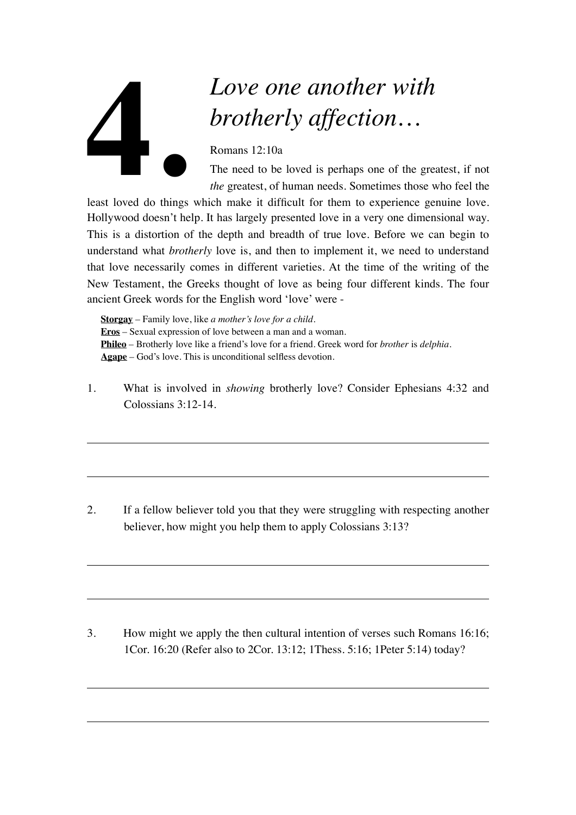## *Love one another with brotherly affection…*

Romans 12:10a

The need to be loved is perhaps one of the greatest, if not *the* greatest, of human needs. Sometimes those who feel the

least loved do things which make it difficult for them to experience genuine love. Hollywood doesn't help. It has largely presented love in a very one dimensional way. This is a distortion of the depth and breadth of true love. Before we can begin to understand what *brotherly* love is, and then to implement it, we need to understand that love necessarily comes in different varieties. At the time of the writing of the New Testament, the Greeks thought of love as being four different kinds. The four ancient Greek words for the English word 'love' were - **4.**

**Storgay** – Family love, like *a mother's love for a child*. **Eros** – Sexual expression of love between a man and a woman. **Phileo** – Brotherly love like a friend's love for a friend. Greek word for *brother* is *delphia*. **Agape** – God's love. This is unconditional selfless devotion.

1. What is involved in *showing* brotherly love? Consider Ephesians 4:32 and Colossians 3:12-14.

2. If a fellow believer told you that they were struggling with respecting another believer, how might you help them to apply Colossians 3:13?

3. How might we apply the then cultural intention of verses such Romans 16:16; 1Cor. 16:20 (Refer also to 2Cor. 13:12; 1Thess. 5:16; 1Peter 5:14) today?